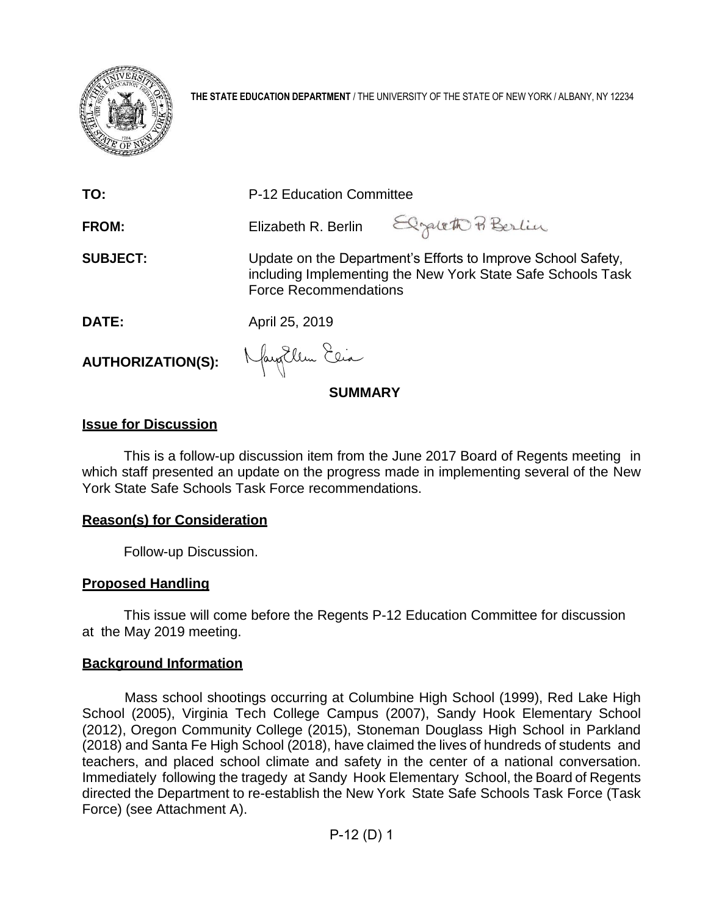

**THE STATE EDUCATION DEPARTMENT** / THE UNIVERSITY OF THE STATE OF NEW YORK / ALBANY, NY 12234

| TO:                             | P-12 Education Committee                                                                                                                                    |  |
|---------------------------------|-------------------------------------------------------------------------------------------------------------------------------------------------------------|--|
| <b>FROM:</b>                    | Elizabeth R. Berlin Elgaleth Pi Berlin                                                                                                                      |  |
| <b>SUBJECT:</b>                 | Update on the Department's Efforts to Improve School Safety,<br>including Implementing the New York State Safe Schools Task<br><b>Force Recommendations</b> |  |
| DATE:                           | April 25, 2019                                                                                                                                              |  |
| AUTHORIZATION(S): Mayallen Elia |                                                                                                                                                             |  |

**SUMMARY**

### **Issue for Discussion**

This is a follow-up discussion item from the June 2017 Board of Regents meeting in which staff presented an update on the progress made in implementing several of the New York State Safe Schools Task Force recommendations.

### **Reason(s) for Consideration**

Follow-up Discussion.

### **Proposed Handling**

This issue will come before the Regents P-12 Education Committee for discussion at the May 2019 meeting.

### **Background Information**

Mass school shootings occurring at Columbine High School (1999), Red Lake High School (2005), Virginia Tech College Campus (2007), Sandy Hook Elementary School (2012), Oregon Community College (2015), Stoneman Douglass High School in Parkland (2018) and Santa Fe High School (2018), have claimed the lives of hundreds of students and teachers, and placed school climate and safety in the center of a national conversation. Immediately following the tragedy at Sandy Hook Elementary School, the Board of Regents directed the Department to re-establish the New York State Safe Schools Task Force (Task Force) (see Attachment A).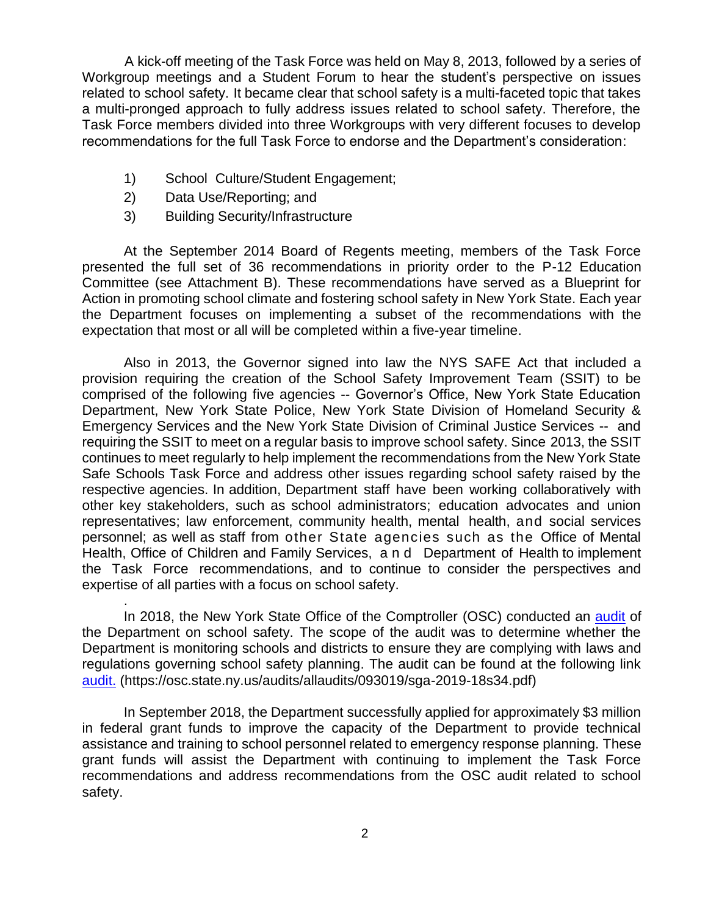A kick-off meeting of the Task Force was held on May 8, 2013, followed by a series of Workgroup meetings and a Student Forum to hear the student's perspective on issues related to school safety. It became clear that school safety is a multi-faceted topic that takes a multi-pronged approach to fully address issues related to school safety. Therefore, the Task Force members divided into three Workgroups with very different focuses to develop recommendations for the full Task Force to endorse and the Department's consideration:

- 1) School Culture/Student Engagement;
- 2) Data Use/Reporting; and

.

3) Building Security/Infrastructure

At the September 2014 Board of Regents meeting, members of the Task Force presented the full set of 36 recommendations in priority order to the P-12 Education Committee (see Attachment B). These recommendations have served as a Blueprint for Action in promoting school climate and fostering school safety in New York State. Each year the Department focuses on implementing a subset of the recommendations with the expectation that most or all will be completed within a five-year timeline.

Also in 2013, the Governor signed into law the NYS SAFE Act that included a provision requiring the creation of the School Safety Improvement Team (SSIT) to be comprised of the following five agencies -- Governor's Office, New York State Education Department, New York State Police, New York State Division of Homeland Security & Emergency Services and the New York State Division of Criminal Justice Services -- and requiring the SSIT to meet on a regular basis to improve school safety. Since 2013, the SSIT continues to meet regularly to help implement the recommendations from the New York State Safe Schools Task Force and address other issues regarding school safety raised by the respective agencies. In addition, Department staff have been working collaboratively with other key stakeholders, such as school administrators; education advocates and union representatives; law enforcement, community health, mental health, and social services personnel; as well as staff from other State agencies such as the Office of Mental Health, Office of Children and Family Services, and Department of Health to implement the Task Force recommendations, and to continue to consider the perspectives and expertise of all parties with a focus on school safety.

In 2018, the New York State Office of the Comptroller (OSC) conducted an [audit](https://osc.state.ny.us/audits/allaudits/093019/sga-2019-18s34.pdf) of the Department on school safety. The scope of the audit was to determine whether the Department is monitoring schools and districts to ensure they are complying with laws and regulations governing school safety planning. The audit can be found at the following link [audit.](https://osc.state.ny.us/audits/allaudits/093019/sga-2019-18s34.pdf) (https://osc.state.ny.us/audits/allaudits/093019/sga-2019-18s34.pdf)

In September 2018, the Department successfully applied for approximately \$3 million in federal grant funds to improve the capacity of the Department to provide technical assistance and training to school personnel related to emergency response planning. These grant funds will assist the Department with continuing to implement the Task Force recommendations and address recommendations from the OSC audit related to school safety.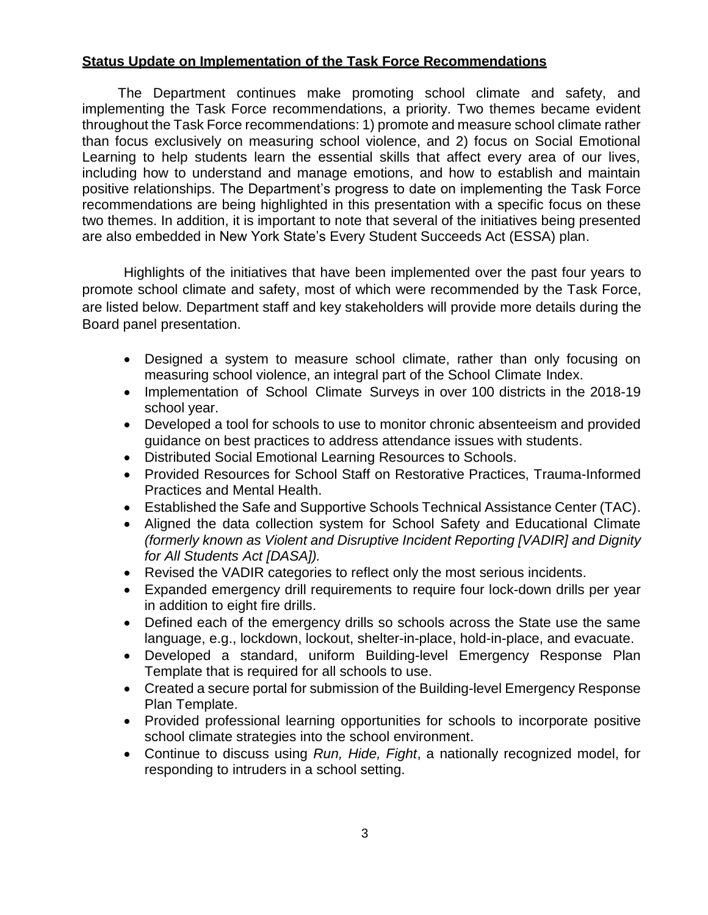### **Status Update on Implementation of the Task Force Recommendations**

The Department continues make promoting school climate and safety, and implementing the Task Force recommendations, a priority. Two themes became evident throughout the Task Force recommendations: 1) promote and measure school climate rather than focus exclusively on measuring school violence, and 2) focus on Social Emotional Learning to help students learn the essential skills that affect every area of our lives, including how to understand and manage emotions, and how to establish and maintain positive relationships. The Department's progress to date on implementing the Task Force recommendations are being highlighted in this presentation with a specific focus on these two themes. In addition, it is important to note that several of the initiatives being presented are also embedded in New York State's Every Student Succeeds Act (ESSA) plan.

Highlights of the initiatives that have been implemented over the past four years to promote school climate and safety, most of which were recommended by the Task Force, are listed below. Department staff and key stakeholders will provide more details during the Board panel presentation.

- Designed a system to measure school climate, rather than only focusing on measuring school violence, an integral part of the School Climate Index.
- Implementation of School Climate Surveys in over 100 districts in the 2018-19 school year.
- Developed a tool for schools to use to monitor chronic absenteeism and provided guidance on best practices to address attendance issues with students.
- Distributed Social Emotional Learning Resources to Schools.
- Provided Resources for School Staff on Restorative Practices, Trauma-Informed Practices and Mental Health.
- Established the Safe and Supportive Schools Technical Assistance Center (TAC).
- Aligned the data collection system for School Safety and Educational Climate *(formerly known as Violent and Disruptive Incident Reporting [VADIR] and Dignity for All Students Act [DASA]).*
- Revised the VADIR categories to reflect only the most serious incidents.
- Expanded emergency drill requirements to require four lock-down drills per year in addition to eight fire drills.
- Defined each of the emergency drills so schools across the State use the same language, e.g., lockdown, lockout, shelter-in-place, hold-in-place, and evacuate.
- Developed a standard, uniform Building-level Emergency Response Plan Template that is required for all schools to use.
- Created a secure portal for submission of the Building-level Emergency Response Plan Template.
- Provided professional learning opportunities for schools to incorporate positive school climate strategies into the school environment.
- Continue to discuss using *Run, Hide, Fight*, a nationally recognized model, for responding to intruders in a school setting.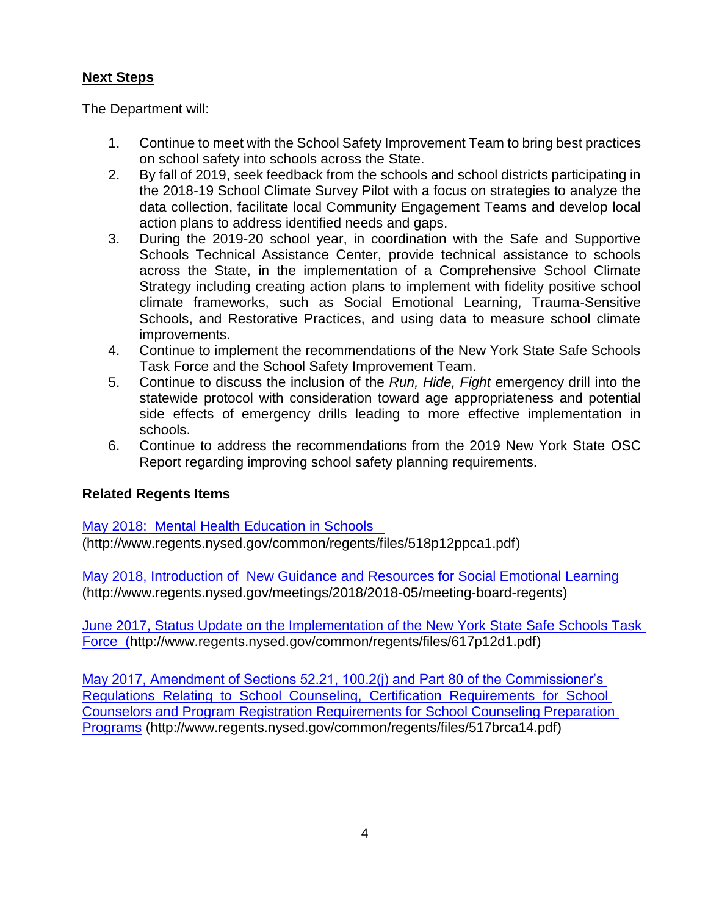## **Next Steps**

The Department will:

- 1. Continue to meet with the School Safety Improvement Team to bring best practices on school safety into schools across the State.
- 2. By fall of 2019, seek feedback from the schools and school districts participating in the 2018-19 School Climate Survey Pilot with a focus on strategies to analyze the data collection, facilitate local Community Engagement Teams and develop local action plans to address identified needs and gaps.
- 3. During the 2019-20 school year, in coordination with the Safe and Supportive Schools Technical Assistance Center, provide technical assistance to schools across the State, in the implementation of a Comprehensive School Climate Strategy including creating action plans to implement with fidelity positive school climate frameworks, such as Social Emotional Learning, Trauma-Sensitive Schools, and Restorative Practices, and using data to measure school climate improvements.
- 4. Continue to implement the recommendations of the New York State Safe Schools Task Force and the School Safety Improvement Team.
- 5. Continue to discuss the inclusion of the *Run, Hide, Fight* emergency drill into the statewide protocol with consideration toward age appropriateness and potential side effects of emergency drills leading to more effective implementation in schools.
- 6. Continue to address the recommendations from the 2019 New York State OSC Report regarding improving school safety planning requirements.

## **Related Regents Items**

[May 2018: Mental Health Education in Schools](http://www.regents.nysed.gov/common/regents/files/518p12ppca1.pdf) 

(http://www.regents.nysed.gov/common/regents/files/518p12ppca1.pdf)

[May 2018, Introduction of New Guidance and Resources for Social Emotional Learning](http://www.regents.nysed.gov/meetings/2018/2018-05/meeting-board-regents) (http://www.regents.nysed.gov/meetings/2018/2018-05/meeting-board-regents)

[June 2017, Status Update on the Implementation of the New York State Safe Schools Task](http://www.regents.nysed.gov/common/regents/files/617p12d1.pdf)  [Force](http://www.regents.nysed.gov/common/regents/files/617p12d1.pdf) (http://www.regents.nysed.gov/common/regents/files/617p12d1.pdf)

[May 2017, Amendment of Sections 52.21, 100.2\(j\) and Part 80 of the Commissioner's](http://www.regents.nysed.gov/common/regents/files/517brca14.pdf)  [Regulations Relating to School Counseling, Certification Requirements for School](http://www.regents.nysed.gov/common/regents/files/517brca14.pdf)  [Counselors and Program Registration Requirements for School Counseling Preparation](http://www.regents.nysed.gov/common/regents/files/517brca14.pdf)  [Programs](http://www.regents.nysed.gov/common/regents/files/517brca14.pdf) (http://www.regents.nysed.gov/common/regents/files/517brca14.pdf)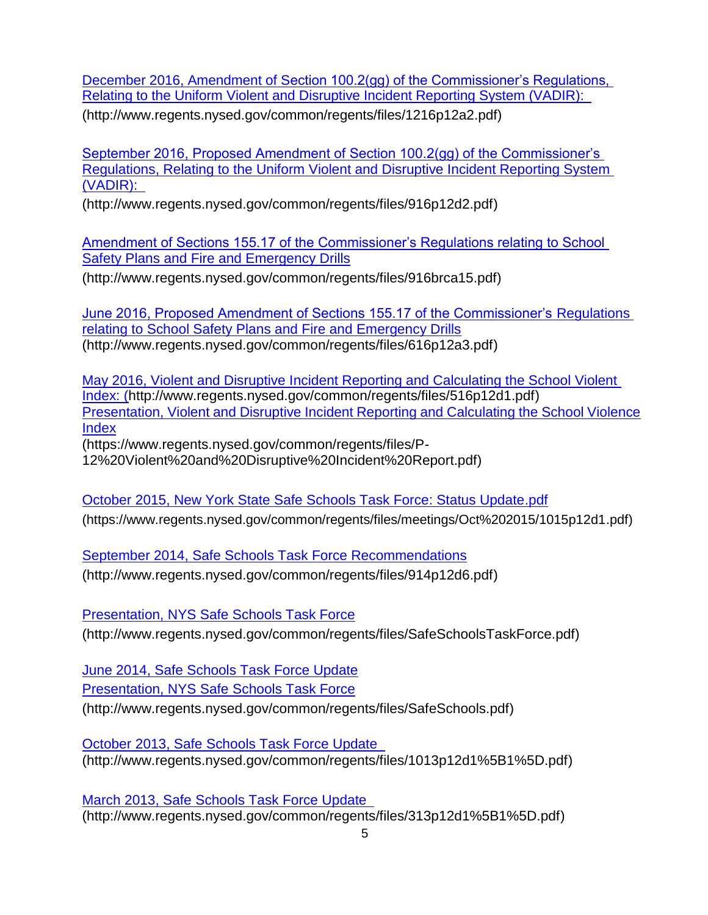[December 2016, Amendment of Section 100.2\(gg\) of the Commissioner's Regulations,](http://www.regents.nysed.gov/common/regents/files/1216p12a2.pdf)  [Relating to the Uniform Violent and Disruptive Incident Reporting System \(VADIR\):](http://www.regents.nysed.gov/common/regents/files/1216p12a2.pdf) 

(http://www.regents.nysed.gov/common/regents/files/1216p12a2.pdf)

[September 2016, Proposed Amendment of Section 100.2\(gg\) of the Commissioner's](http://www.regents.nysed.gov/common/regents/files/916p12d2.pdf)  [Regulations, Relating to the Uniform Violent and Disruptive Incident Reporting System](http://www.regents.nysed.gov/common/regents/files/916p12d2.pdf)  [\(VADIR\):](http://www.regents.nysed.gov/common/regents/files/916p12d2.pdf) 

(http://www.regents.nysed.gov/common/regents/files/916p12d2.pdf)

[Amendment of Sections 155.17 of the Commissioner's Regulations relating to School](http://www.regents.nysed.gov/common/regents/files/916brca15.pdf)  [Safety Plans and Fire and Emergency Drills](http://www.regents.nysed.gov/common/regents/files/916brca15.pdf)

(http://www.regents.nysed.gov/common/regents/files/916brca15.pdf)

[June 2016, Proposed Amendment of Sections 155.17 of the Commissioner's Regulations](http://www.regents.nysed.gov/common/regents/files/616p12a3.pdf)  [relating to School Safety Plans and Fire and Emergency Drills](http://www.regents.nysed.gov/common/regents/files/616p12a3.pdf) (http://www.regents.nysed.gov/common/regents/files/616p12a3.pdf)

[May 2016, Violent and Disruptive Incident Reporting and Calculating the School Violent](http://www.regents.nysed.gov/common/regents/files/516p12d1.pdf)  [Index: \(](http://www.regents.nysed.gov/common/regents/files/516p12d1.pdf)http://www.regents.nysed.gov/common/regents/files/516p12d1.pdf) [Presentation, Violent and Disruptive Incident Reporting and Calculating the School Violence](https://www.regents.nysed.gov/common/regents/files/P-)  [Index](https://www.regents.nysed.gov/common/regents/files/P-)

(https://www.regents.nysed.gov/common/regents/files/P-

12%20Violent%20and%20Disruptive%20Incident%20Report.pdf)

[October 2015, New York State Safe Schools Task Force: Status Update.pdf](https://www.regents.nysed.gov/common/regents/files/meetings/Oct%202015/1015p12d1.pdf) (https://www.regents.nysed.gov/common/regents/files/meetings/Oct%202015/1015p12d[1.pdf\)](https://www.regents.nysed.gov/common/regents/files/meetings/Oct%202015/1015p12d1.pdf)

[September 2014, Safe Schools Task Force Recommendations](http://www.regents.nysed.gov/common/regents/files/914p12d6.pdf) (http://www.regents.nysed.gov/common/regents/files/914p12d6.pdf)

**[Presentation, NYS Safe Schools Task Force](http://www.regents.nysed.gov/common/regents/files/SafeSchoolsTaskForce.pdf)** 

(http://www.regents.nysed.gov/common/regents/files/SafeSchoolsTaskForce.pdf)

[June 2014, Safe Schools Task Force Update](http://www.regents.nysed.gov/common/regents/files/614p12d1.pdf)

[Presentation, NYS Safe](http://www.regents.nysed.gov/common/regents/files/SafeSchools.pdf) Schools Task Force

(http://www.regents.nysed.gov/common/regents/files/SafeSchools.pdf)

[October 2013, Safe Schools Task Force Update](http://www.regents.nysed.gov/common/regents/files/1013p12d1%5B1%5D.pdf)  (http://www.regents.nysed.gov/common/regents/files/1013p12d1%5B1%5D.pdf)

[March 2013, Safe Schools Task Force Update](http://www.regents.nysed.gov/common/regents/files/313p12d1%5B1%5D.pdf)  (http://www.regents.nysed.gov/common/regents/files/313p12d1%5B1%5D.pdf)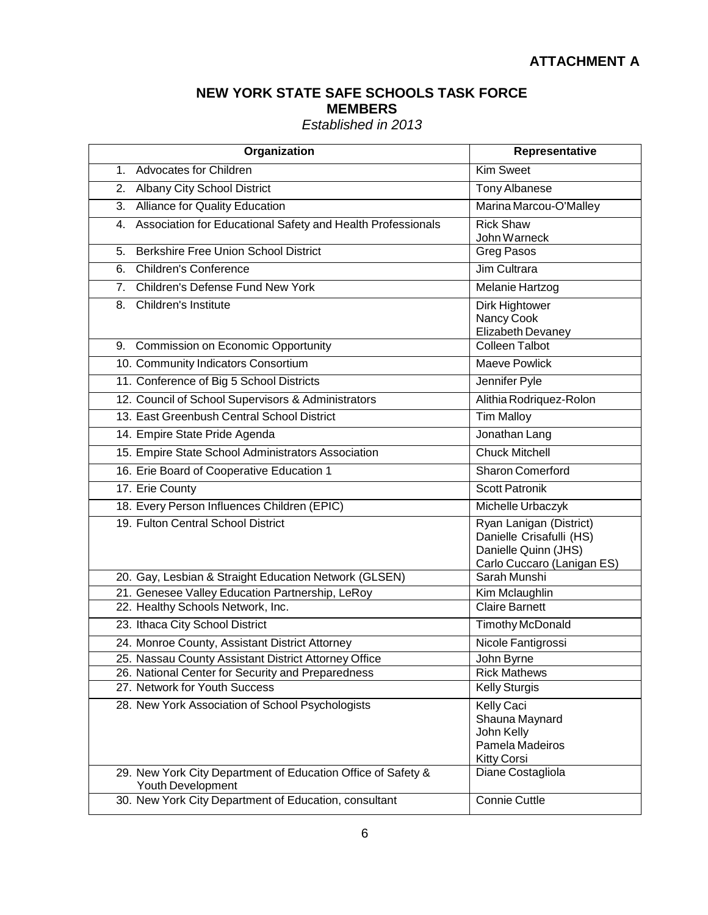## **NEW YORK STATE SAFE SCHOOLS TASK FORCE MEMBERS**

## *Established in 2013*

| Organization                                                                       | <b>Representative</b>                                                                                     |
|------------------------------------------------------------------------------------|-----------------------------------------------------------------------------------------------------------|
| 1. Advocates for Children                                                          | <b>Kim Sweet</b>                                                                                          |
| <b>Albany City School District</b><br>2.                                           | <b>Tony Albanese</b>                                                                                      |
| 3. Alliance for Quality Education                                                  | Marina Marcou-O'Malley                                                                                    |
| 4. Association for Educational Safety and Health Professionals                     | <b>Rick Shaw</b><br>John Warneck                                                                          |
| 5. Berkshire Free Union School District                                            | Greg Pasos                                                                                                |
| 6. Children's Conference                                                           | Jim Cultrara                                                                                              |
| 7. Children's Defense Fund New York                                                | Melanie Hartzog                                                                                           |
| 8. Children's Institute                                                            | Dirk Hightower<br>Nancy Cook<br>Elizabeth Devaney                                                         |
| 9. Commission on Economic Opportunity                                              | <b>Colleen Talbot</b>                                                                                     |
| 10. Community Indicators Consortium                                                | <b>Maeve Powlick</b>                                                                                      |
| 11. Conference of Big 5 School Districts                                           | Jennifer Pyle                                                                                             |
| 12. Council of School Supervisors & Administrators                                 | Alithia Rodriquez-Rolon                                                                                   |
| 13. East Greenbush Central School District                                         | <b>Tim Malloy</b>                                                                                         |
| 14. Empire State Pride Agenda                                                      | Jonathan Lang                                                                                             |
| 15. Empire State School Administrators Association                                 | <b>Chuck Mitchell</b>                                                                                     |
| 16. Erie Board of Cooperative Education 1                                          | <b>Sharon Comerford</b>                                                                                   |
| 17. Erie County                                                                    | <b>Scott Patronik</b>                                                                                     |
| 18. Every Person Influences Children (EPIC)                                        | Michelle Urbaczyk                                                                                         |
| 19. Fulton Central School District                                                 | Ryan Lanigan (District)<br>Danielle Crisafulli (HS)<br>Danielle Quinn (JHS)<br>Carlo Cuccaro (Lanigan ES) |
| 20. Gay, Lesbian & Straight Education Network (GLSEN)                              | Sarah Munshi                                                                                              |
| 21. Genesee Valley Education Partnership, LeRoy                                    | Kim Mclaughlin                                                                                            |
| 22. Healthy Schools Network, Inc.                                                  | <b>Claire Barnett</b>                                                                                     |
| 23. Ithaca City School District                                                    | <b>Timothy McDonald</b>                                                                                   |
| 24. Monroe County, Assistant District Attorney                                     | Nicole Fantigrossi                                                                                        |
| 25. Nassau County Assistant District Attorney Office                               | John Byrne                                                                                                |
| 26. National Center for Security and Preparedness<br>27. Network for Youth Success | <b>Rick Mathews</b><br><b>Kelly Sturgis</b>                                                               |
|                                                                                    |                                                                                                           |
| 28. New York Association of School Psychologists                                   | Kelly Caci<br>Shauna Maynard<br>John Kelly<br>Pamela Madeiros<br><b>Kitty Corsi</b>                       |
| 29. New York City Department of Education Office of Safety &<br>Youth Development  | Diane Costagliola                                                                                         |
| 30. New York City Department of Education, consultant                              | <b>Connie Cuttle</b>                                                                                      |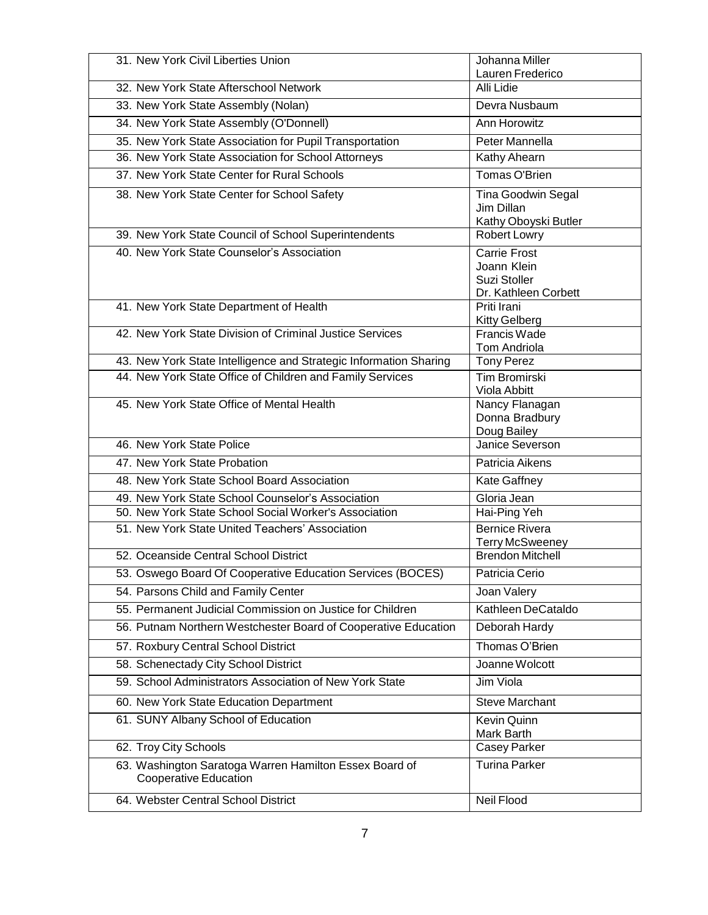| 31. New York Civil Liberties Union                                              | Johanna Miller                                                             |
|---------------------------------------------------------------------------------|----------------------------------------------------------------------------|
| 32. New York State Afterschool Network                                          | Lauren Frederico<br>Alli Lidie                                             |
| 33. New York State Assembly (Nolan)                                             | Devra Nusbaum                                                              |
| 34. New York State Assembly (O'Donnell)                                         | <b>Ann Horowitz</b>                                                        |
| 35. New York State Association for Pupil Transportation                         | Peter Mannella                                                             |
| 36. New York State Association for School Attorneys                             | Kathy Ahearn                                                               |
| 37. New York State Center for Rural Schools                                     | Tomas O'Brien                                                              |
| 38. New York State Center for School Safety                                     | <b>Tina Goodwin Segal</b><br>Jim Dillan<br>Kathy Oboyski Butler            |
| 39. New York State Council of School Superintendents                            | <b>Robert Lowry</b>                                                        |
| 40. New York State Counselor's Association                                      | <b>Carrie Frost</b><br>Joann Klein<br>Suzi Stoller<br>Dr. Kathleen Corbett |
| 41. New York State Department of Health                                         | Priti Irani<br>Kitty Gelberg                                               |
| 42. New York State Division of Criminal Justice Services                        | Francis Wade<br>Tom Andriola                                               |
| 43. New York State Intelligence and Strategic Information Sharing               | <b>Tony Perez</b>                                                          |
| 44. New York State Office of Children and Family Services                       | <b>Tim Bromirski</b><br>Viola Abbitt                                       |
| 45. New York State Office of Mental Health                                      | Nancy Flanagan<br>Donna Bradbury<br>Doug Bailey                            |
| 46. New York State Police                                                       | Janice Severson                                                            |
| 47. New York State Probation                                                    | Patricia Aikens                                                            |
| 48. New York State School Board Association                                     | Kate Gaffney                                                               |
| 49. New York State School Counselor's Association                               | Gloria Jean                                                                |
| 50. New York State School Social Worker's Association                           | Hai-Ping Yeh                                                               |
| 51. New York State United Teachers' Association                                 | <b>Bernice Rivera</b><br><b>Terry McSweeney</b>                            |
| 52. Oceanside Central School District                                           | <b>Brendon Mitchell</b>                                                    |
| 53. Oswego Board Of Cooperative Education Services (BOCES)                      | Patricia Cerio                                                             |
| 54. Parsons Child and Family Center                                             | Joan Valery                                                                |
| 55. Permanent Judicial Commission on Justice for Children                       | Kathleen DeCataldo                                                         |
| 56. Putnam Northern Westchester Board of Cooperative Education                  | Deborah Hardy                                                              |
| 57. Roxbury Central School District                                             | Thomas O'Brien                                                             |
| 58. Schenectady City School District                                            | Joanne Wolcott                                                             |
| 59. School Administrators Association of New York State                         | Jim Viola                                                                  |
| 60. New York State Education Department                                         | <b>Steve Marchant</b>                                                      |
| 61. SUNY Albany School of Education                                             | Kevin Quinn<br>Mark Barth                                                  |
| 62. Troy City Schools                                                           | Casey Parker                                                               |
| 63. Washington Saratoga Warren Hamilton Essex Board of<br>Cooperative Education | <b>Turina Parker</b>                                                       |
| 64. Webster Central School District                                             | Neil Flood                                                                 |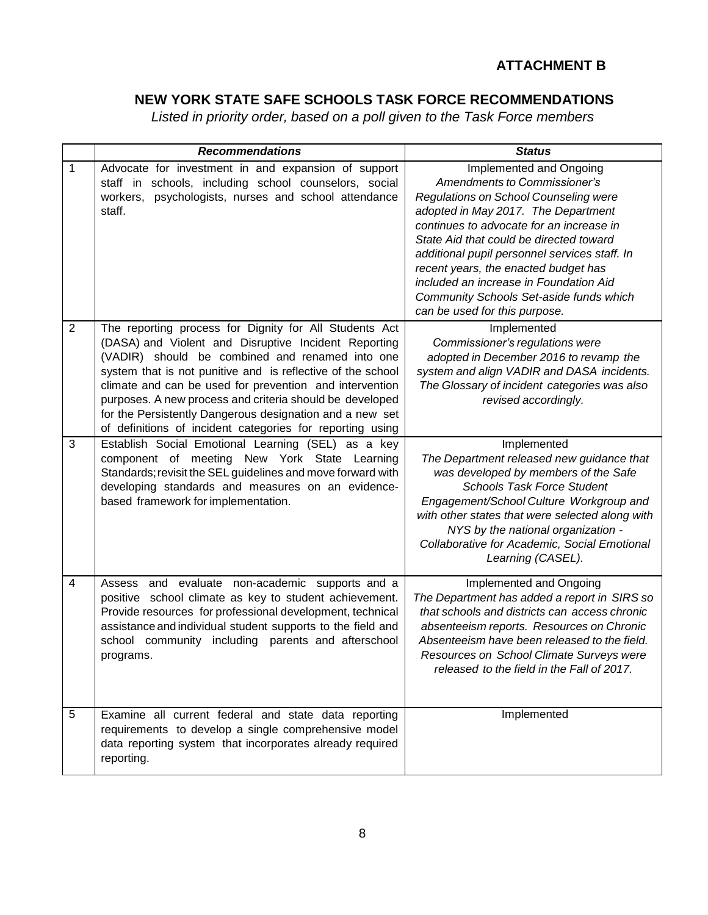## **ATTACHMENT B**

# **NEW YORK STATE SAFE SCHOOLS TASK FORCE RECOMMENDATIONS**

*Listed in priority order, based on a poll given to the Task Force members*

|                | <b>Recommendations</b>                                                                                                                                                                                                                                                                                                                                                                                                                                                           | <b>Status</b>                                                                                                                                                                                                                                                                                                                                                                                                                                 |
|----------------|----------------------------------------------------------------------------------------------------------------------------------------------------------------------------------------------------------------------------------------------------------------------------------------------------------------------------------------------------------------------------------------------------------------------------------------------------------------------------------|-----------------------------------------------------------------------------------------------------------------------------------------------------------------------------------------------------------------------------------------------------------------------------------------------------------------------------------------------------------------------------------------------------------------------------------------------|
| 1              | Advocate for investment in and expansion of support<br>staff in schools, including school counselors, social<br>workers, psychologists, nurses and school attendance<br>staff.                                                                                                                                                                                                                                                                                                   | Implemented and Ongoing<br>Amendments to Commissioner's<br>Regulations on School Counseling were<br>adopted in May 2017. The Department<br>continues to advocate for an increase in<br>State Aid that could be directed toward<br>additional pupil personnel services staff. In<br>recent years, the enacted budget has<br>included an increase in Foundation Aid<br>Community Schools Set-aside funds which<br>can be used for this purpose. |
| $\overline{2}$ | The reporting process for Dignity for All Students Act<br>(DASA) and Violent and Disruptive Incident Reporting<br>(VADIR) should be combined and renamed into one<br>system that is not punitive and is reflective of the school<br>climate and can be used for prevention and intervention<br>purposes. A new process and criteria should be developed<br>for the Persistently Dangerous designation and a new set<br>of definitions of incident categories for reporting using | Implemented<br>Commissioner's regulations were<br>adopted in December 2016 to revamp the<br>system and align VADIR and DASA incidents.<br>The Glossary of incident categories was also<br>revised accordingly.                                                                                                                                                                                                                                |
| 3              | Establish Social Emotional Learning (SEL) as a key<br>component of meeting New York State Learning<br>Standards; revisit the SEL guidelines and move forward with<br>developing standards and measures on an evidence-<br>based framework for implementation.                                                                                                                                                                                                                    | Implemented<br>The Department released new guidance that<br>was developed by members of the Safe<br><b>Schools Task Force Student</b><br>Engagement/School Culture Workgroup and<br>with other states that were selected along with<br>NYS by the national organization -<br>Collaborative for Academic, Social Emotional<br>Learning (CASEL).                                                                                                |
| 4              | Assess and evaluate non-academic supports and a<br>positive school climate as key to student achievement.<br>Provide resources for professional development, technical<br>assistance and individual student supports to the field and<br>school community including parents and afterschool<br>programs.                                                                                                                                                                         | Implemented and Ongoing<br>The Department has added a report in SIRS so<br>that schools and districts can access chronic<br>absenteeism reports. Resources on Chronic<br>Absenteeism have been released to the field.<br>Resources on School Climate Surveys were<br>released to the field in the Fall of 2017.                                                                                                                               |
| 5              | Examine all current federal and state data reporting<br>requirements to develop a single comprehensive model<br>data reporting system that incorporates already required<br>reporting.                                                                                                                                                                                                                                                                                           | Implemented                                                                                                                                                                                                                                                                                                                                                                                                                                   |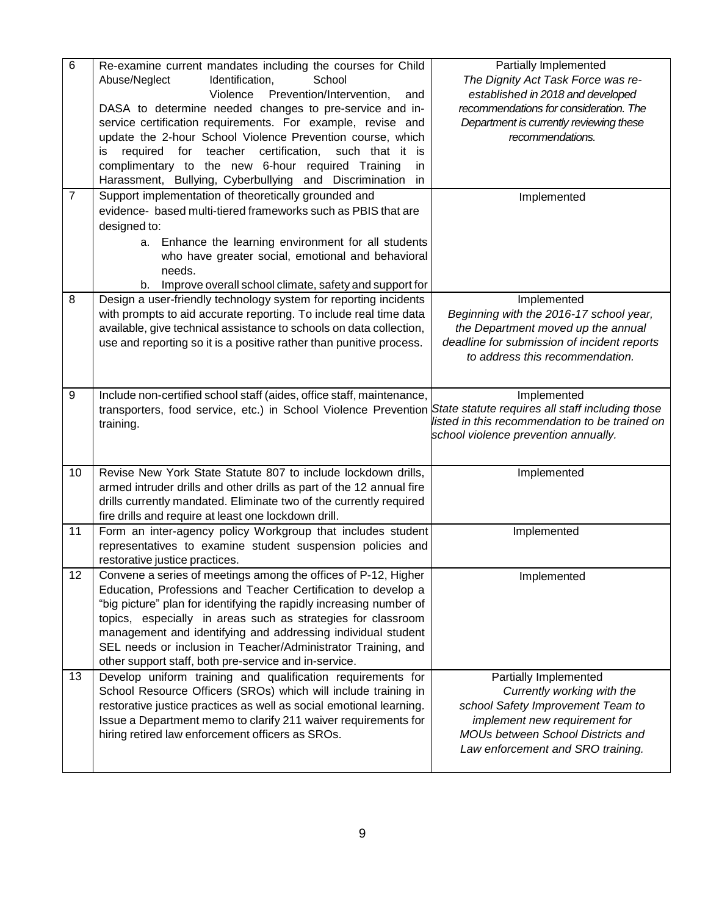| 6              | Re-examine current mandates including the courses for Child           | Partially Implemented                            |
|----------------|-----------------------------------------------------------------------|--------------------------------------------------|
|                | Abuse/Neglect<br>Identification,<br>School                            | The Dignity Act Task Force was re-               |
|                | Violence<br>Prevention/Intervention,<br>and                           | established in 2018 and developed                |
|                | DASA to determine needed changes to pre-service and in-               | recommendations for consideration. The           |
|                | service certification requirements. For example, revise and           | Department is currently reviewing these          |
|                | update the 2-hour School Violence Prevention course, which            | recommendations.                                 |
|                | teacher<br>certification,<br>such that it is                          |                                                  |
|                | required<br>for<br>İS                                                 |                                                  |
|                | complimentary to the new 6-hour required Training<br>in.              |                                                  |
|                | Harassment, Bullying, Cyberbullying and Discrimination<br>in.         |                                                  |
| $\overline{7}$ | Support implementation of theoretically grounded and                  | Implemented                                      |
|                | evidence- based multi-tiered frameworks such as PBIS that are         |                                                  |
|                | designed to:                                                          |                                                  |
|                | a. Enhance the learning environment for all students                  |                                                  |
|                | who have greater social, emotional and behavioral                     |                                                  |
|                | needs.                                                                |                                                  |
|                | Improve overall school climate, safety and support for<br>b.          |                                                  |
| 8              | Design a user-friendly technology system for reporting incidents      | Implemented                                      |
|                | with prompts to aid accurate reporting. To include real time data     | Beginning with the 2016-17 school year,          |
|                | available, give technical assistance to schools on data collection,   | the Department moved up the annual               |
|                | use and reporting so it is a positive rather than punitive process.   | deadline for submission of incident reports      |
|                |                                                                       | to address this recommendation.                  |
|                |                                                                       |                                                  |
|                |                                                                       |                                                  |
| 9              | Include non-certified school staff (aides, office staff, maintenance, | Implemented                                      |
|                | transporters, food service, etc.) in School Violence Prevention       | State statute requires all staff including those |
|                | training.                                                             | listed in this recommendation to be trained on   |
|                |                                                                       | school violence prevention annually.             |
|                |                                                                       |                                                  |
| 10             | Revise New York State Statute 807 to include lockdown drills,         | Implemented                                      |
|                | armed intruder drills and other drills as part of the 12 annual fire  |                                                  |
|                | drills currently mandated. Eliminate two of the currently required    |                                                  |
|                |                                                                       |                                                  |
|                | fire drills and require at least one lockdown drill.                  |                                                  |
| 11             | Form an inter-agency policy Workgroup that includes student           | Implemented                                      |
|                | representatives to examine student suspension policies and            |                                                  |
|                | restorative justice practices.                                        |                                                  |
| 12             | Convene a series of meetings among the offices of P-12, Higher        | Implemented                                      |
|                | Education, Professions and Teacher Certification to develop a         |                                                  |
|                | "big picture" plan for identifying the rapidly increasing number of   |                                                  |
|                | topics, especially in areas such as strategies for classroom          |                                                  |
|                | management and identifying and addressing individual student          |                                                  |
|                | SEL needs or inclusion in Teacher/Administrator Training, and         |                                                  |
|                | other support staff, both pre-service and in-service.                 |                                                  |
| 13             | Develop uniform training and qualification requirements for           | Partially Implemented                            |
|                | School Resource Officers (SROs) which will include training in        | Currently working with the                       |
|                | restorative justice practices as well as social emotional learning.   | school Safety Improvement Team to                |
|                | Issue a Department memo to clarify 211 waiver requirements for        | implement new requirement for                    |
|                | hiring retired law enforcement officers as SROs.                      | MOUs between School Districts and                |
|                |                                                                       | Law enforcement and SRO training.                |
|                |                                                                       |                                                  |
|                |                                                                       |                                                  |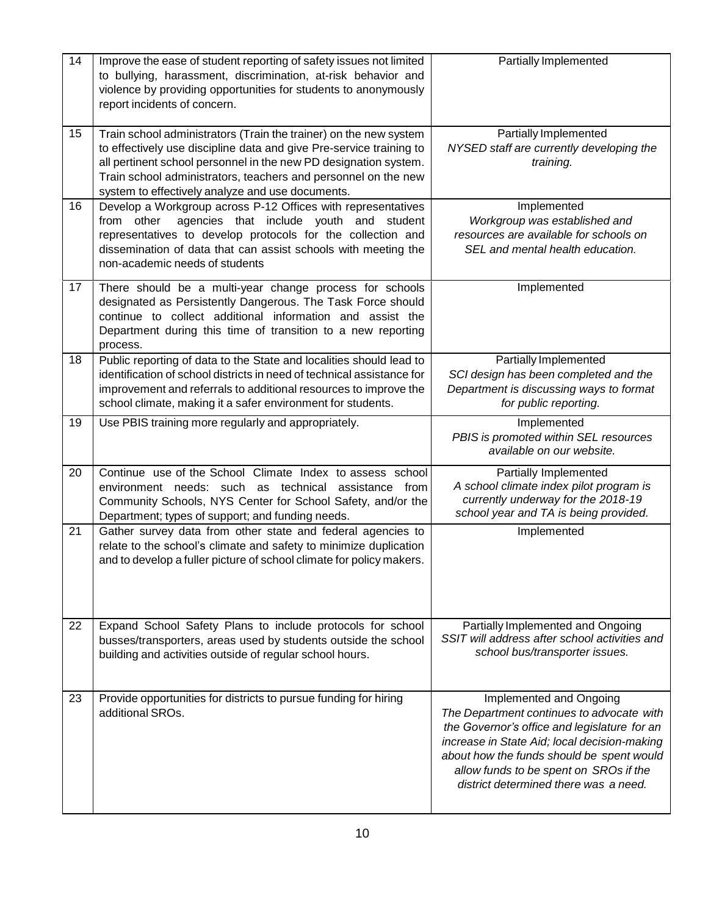| 14 | Improve the ease of student reporting of safety issues not limited<br>to bullying, harassment, discrimination, at-risk behavior and<br>violence by providing opportunities for students to anonymously<br>report incidents of concern.                                                                                             | Partially Implemented                                                                                                                                                                                                                                                                                |
|----|------------------------------------------------------------------------------------------------------------------------------------------------------------------------------------------------------------------------------------------------------------------------------------------------------------------------------------|------------------------------------------------------------------------------------------------------------------------------------------------------------------------------------------------------------------------------------------------------------------------------------------------------|
| 15 | Train school administrators (Train the trainer) on the new system<br>to effectively use discipline data and give Pre-service training to<br>all pertinent school personnel in the new PD designation system.<br>Train school administrators, teachers and personnel on the new<br>system to effectively analyze and use documents. | Partially Implemented<br>NYSED staff are currently developing the<br>training.                                                                                                                                                                                                                       |
| 16 | Develop a Workgroup across P-12 Offices with representatives<br>agencies that include youth and student<br>from other<br>representatives to develop protocols for the collection and<br>dissemination of data that can assist schools with meeting the<br>non-academic needs of students                                           | Implemented<br>Workgroup was established and<br>resources are available for schools on<br>SEL and mental health education.                                                                                                                                                                           |
| 17 | There should be a multi-year change process for schools<br>designated as Persistently Dangerous. The Task Force should<br>continue to collect additional information and assist the<br>Department during this time of transition to a new reporting<br>process.                                                                    | Implemented                                                                                                                                                                                                                                                                                          |
| 18 | Public reporting of data to the State and localities should lead to<br>identification of school districts in need of technical assistance for<br>improvement and referrals to additional resources to improve the<br>school climate, making it a safer environment for students.                                                   | Partially Implemented<br>SCI design has been completed and the<br>Department is discussing ways to format<br>for public reporting.                                                                                                                                                                   |
| 19 | Use PBIS training more regularly and appropriately.                                                                                                                                                                                                                                                                                | Implemented<br>PBIS is promoted within SEL resources<br>available on our website.                                                                                                                                                                                                                    |
| 20 | Continue use of the School Climate Index to assess school<br>environment needs: such as technical assistance from<br>Community Schools, NYS Center for School Safety, and/or the<br>Department; types of support; and funding needs.                                                                                               | Partially Implemented<br>A school climate index pilot program is<br>currently underway for the 2018-19<br>school year and TA is being provided.                                                                                                                                                      |
| 21 | Gather survey data from other state and federal agencies to<br>relate to the school's climate and safety to minimize duplication<br>and to develop a fuller picture of school climate for policy makers.                                                                                                                           | Implemented                                                                                                                                                                                                                                                                                          |
| 22 | Expand School Safety Plans to include protocols for school<br>busses/transporters, areas used by students outside the school<br>building and activities outside of regular school hours.                                                                                                                                           | Partially Implemented and Ongoing<br>SSIT will address after school activities and<br>school bus/transporter issues.                                                                                                                                                                                 |
| 23 | Provide opportunities for districts to pursue funding for hiring<br>additional SROs.                                                                                                                                                                                                                                               | Implemented and Ongoing<br>The Department continues to advocate with<br>the Governor's office and legislature for an<br>increase in State Aid; local decision-making<br>about how the funds should be spent would<br>allow funds to be spent on SROs if the<br>district determined there was a need. |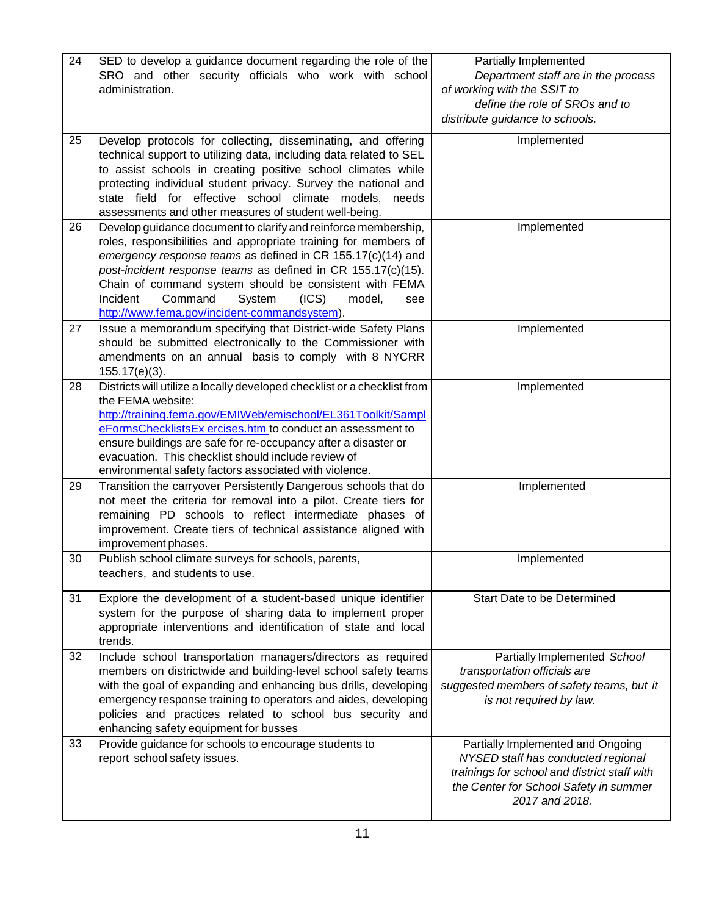| 24 | SED to develop a guidance document regarding the role of the<br>SRO and other security officials who work with school<br>administration.                                                                                                                                                                                                                                                                                              | Partially Implemented<br>Department staff are in the process<br>of working with the SSIT to<br>define the role of SROs and to<br>distribute guidance to schools.                    |
|----|---------------------------------------------------------------------------------------------------------------------------------------------------------------------------------------------------------------------------------------------------------------------------------------------------------------------------------------------------------------------------------------------------------------------------------------|-------------------------------------------------------------------------------------------------------------------------------------------------------------------------------------|
| 25 | Develop protocols for collecting, disseminating, and offering<br>technical support to utilizing data, including data related to SEL<br>to assist schools in creating positive school climates while<br>protecting individual student privacy. Survey the national and<br>state field for effective school climate models, needs<br>assessments and other measures of student well-being.                                              | Implemented                                                                                                                                                                         |
| 26 | Develop guidance document to clarify and reinforce membership,<br>roles, responsibilities and appropriate training for members of<br>emergency response teams as defined in CR 155.17(c)(14) and<br>post-incident response teams as defined in CR 155.17(c)(15).<br>Chain of command system should be consistent with FEMA<br>Command<br>System<br>(ICS)<br>Incident<br>model,<br>see<br>http://www.fema.gov/incident-commandsystem). | Implemented                                                                                                                                                                         |
| 27 | Issue a memorandum specifying that District-wide Safety Plans<br>should be submitted electronically to the Commissioner with<br>amendments on an annual basis to comply with 8 NYCRR<br>$155.17(e)(3)$ .                                                                                                                                                                                                                              | Implemented                                                                                                                                                                         |
| 28 | Districts will utilize a locally developed checklist or a checklist from<br>the FEMA website:<br>http://training.fema.gov/EMIWeb/emischool/EL361Toolkit/Sampl<br>eFormsChecklistsEx ercises.htm to conduct an assessment to<br>ensure buildings are safe for re-occupancy after a disaster or<br>evacuation. This checklist should include review of<br>environmental safety factors associated with violence.                        | Implemented                                                                                                                                                                         |
| 29 | Transition the carryover Persistently Dangerous schools that do<br>not meet the criteria for removal into a pilot. Create tiers for<br>remaining PD schools to reflect intermediate phases of<br>improvement. Create tiers of technical assistance aligned with<br>improvement phases.                                                                                                                                                | Implemented                                                                                                                                                                         |
| 30 | Publish school climate surveys for schools, parents,<br>teachers, and students to use.                                                                                                                                                                                                                                                                                                                                                | Implemented                                                                                                                                                                         |
| 31 | Explore the development of a student-based unique identifier<br>system for the purpose of sharing data to implement proper<br>appropriate interventions and identification of state and local<br>trends.                                                                                                                                                                                                                              | Start Date to be Determined                                                                                                                                                         |
| 32 | Include school transportation managers/directors as required<br>members on districtwide and building-level school safety teams<br>with the goal of expanding and enhancing bus drills, developing<br>emergency response training to operators and aides, developing<br>policies and practices related to school bus security and<br>enhancing safety equipment for busses                                                             | Partially Implemented School<br>transportation officials are<br>suggested members of safety teams, but it<br>is not required by law.                                                |
| 33 | Provide guidance for schools to encourage students to<br>report school safety issues.                                                                                                                                                                                                                                                                                                                                                 | Partially Implemented and Ongoing<br>NYSED staff has conducted regional<br>trainings for school and district staff with<br>the Center for School Safety in summer<br>2017 and 2018. |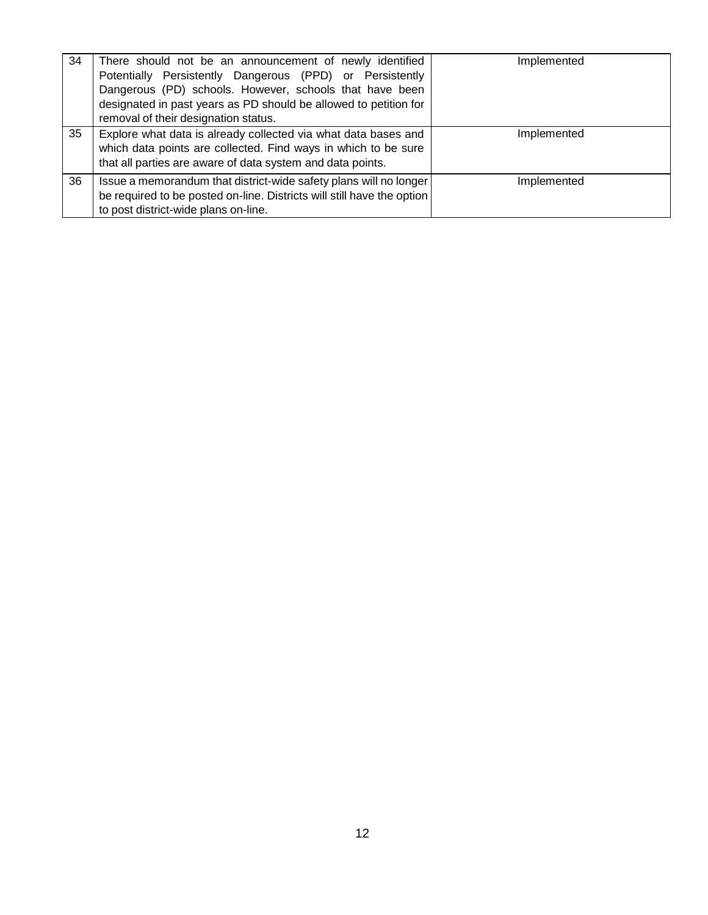| 34 | There should not be an announcement of newly identified<br>Potentially Persistently Dangerous (PPD) or Persistently<br>Dangerous (PD) schools. However, schools that have been<br>designated in past years as PD should be allowed to petition for<br>removal of their designation status. | Implemented |
|----|--------------------------------------------------------------------------------------------------------------------------------------------------------------------------------------------------------------------------------------------------------------------------------------------|-------------|
| 35 | Explore what data is already collected via what data bases and<br>which data points are collected. Find ways in which to be sure<br>that all parties are aware of data system and data points.                                                                                             | Implemented |
| 36 | Issue a memorandum that district-wide safety plans will no longer<br>be required to be posted on-line. Districts will still have the option<br>to post district-wide plans on-line.                                                                                                        | Implemented |